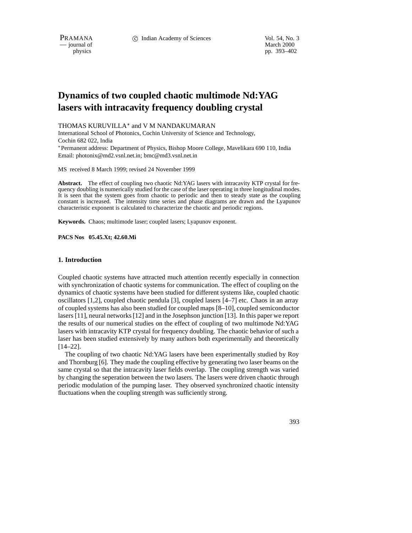$-$  journal of

physics pp. 393–402

# **Dynamics of two coupled chaotic multimode Nd:YAG lasers with intracavity frequency doubling crystal**

#### THOMAS KURUVILLA<sup>\*</sup> and V M NANDAKUMARAN

International School of Photonics, Cochin University of Science and Technology, Cochin 682 022, India Permanent address: Department of Physics, Bishop Moore College, Mavelikara 690 110, India

Email: photonix@md2.vsnl.net.in; bmc@md3.vsnl.net.in

MS received 8 March 1999; revised 24 November 1999

**Abstract.** The effect of coupling two chaotic Nd:YAG lasers with intracavity KTP crystal for frequency doubling is numerically studied for the case of the laser operating in three longitudinal modes. It is seen that the system goes from chaotic to periodic and then to steady state as the coupling constant is increased. The intensity time series and phase diagrams are drawn and the Lyapunov characteristic exponent is calculated to characterize the chaotic and periodic regions.

**Keywords.** Chaos; multimode laser; coupled lasers; Lyapunov exponent.

**PACS Nos 05.45.Xt; 42.60.Mi**

## **1. Introduction**

Coupled chaotic systems have attracted much attention recently especially in connection with synchronization of chaotic systems for communication. The effect of coupling on the dynamics of chaotic systems have been studied for different systems like, coupled chaotic oscillators [1,2], coupled chaotic pendula [3], coupled lasers [4–7] etc. Chaos in an array of coupled systems has also been studied for coupled maps [8–10], coupled semiconductor lasers [11], neural networks [12] and in the Josephson junction [13]. In this paper we report the results of our numerical studies on the effect of coupling of two multimode Nd:YAG lasers with intracavity KTP crystal for frequency doubling. The chaotic behavior of such a laser has been studied extensively by many authors both experimentally and theoretically [14–22].

The coupling of two chaotic Nd:YAG lasers have been experimentally studied by Roy and Thornburg [6]. They made the coupling effective by generating two laser beams on the same crystal so that the intracavity laser fields overlap. The coupling strength was varied by changing the seperation between the two lasers. The lasers were driven chaotic through periodic modulation of the pumping laser. They observed synchronized chaotic intensity fluctuations when the coupling strength was sufficiently strong.

393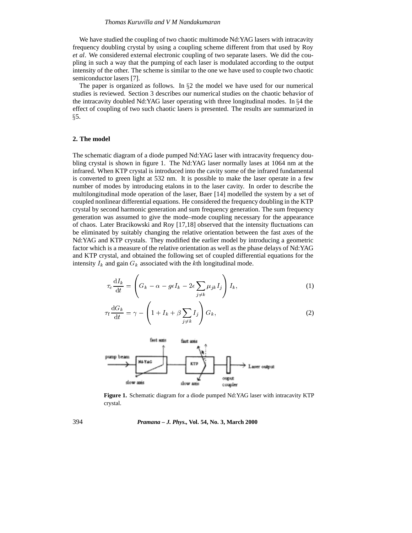We have studied the coupling of two chaotic multimode Nd:YAG lasers with intracavity frequency doubling crystal by using a coupling scheme different from that used by Roy *et al*. We considered external electronic coupling of two separate lasers. We did the coupling in such a way that the pumping of each laser is modulated according to the output intensity of the other. The scheme is similar to the one we have used to couple two chaotic semiconductor lasers [7].

The paper is organized as follows. In  $\S2$  the model we have used for our numerical studies is reviewed. Section 3 describes our numerical studies on the chaotic behavior of the intracavity doubled Nd:YAG laser operating with three longitudinal modes. In  $\S 4$  the effect of coupling of two such chaotic lasers is presented. The results are summarized in  $\S$ 5.

## **2. The model**

The schematic diagram of a diode pumped Nd:YAG laser with intracavity frequency doubling crystal is shown in figure 1. The Nd:YAG laser normally lases at 1064 nm at the infrared. When KTP crystal is introduced into the cavity some of the infrared fundamental is converted to green light at 532 nm. It is possible to make the laser operate in a few number of modes by introducing etalons in to the laser cavity. In order to describe the multilongitudinal mode operation of the laser, Baer [14] modelled the system by a set of coupled nonlinear differential equations. He considered the frequency doubling in the KTP crystal by second harmonic generation and sum frequency generation. The sum frequency generation was assumed to give the mode–mode coupling necessary for the appearance of chaos. Later Bracikowski and Roy [17,18] observed that the intensity fluctuations can be eliminated by suitably changing the relative orientation between the fast axes of the Nd:YAG and KTP crystals. They modified the earlier model by introducing a geometric factor which is a measure of the relative orientation as well as the phase delays of Nd:YAG and KTP crystal, and obtained the following set of coupled differential equations for the intensity  $I_k$  and gain  $G_k$  associated with the kth longitudinal mode.

$$
\tau_{\rm c} \frac{\mathrm{d}I_k}{\mathrm{d}t} = \left( G_k - \alpha - g\epsilon I_k - 2\epsilon \sum_{j \neq k} \mu_{jk} I_j \right) I_k,\tag{1}
$$

$$
\tau_{\rm f} \frac{\mathrm{d}G_k}{\mathrm{d}t} = \gamma - \left( 1 + I_k + \beta \sum_{j \neq k} I_j \right) G_k, \tag{2}
$$



**Figure 1.** Schematic diagram for a diode pumped Nd:YAG laser with intracavity KTP crystal.

394 *Pramana – J. Phys.,* **Vol. 54, No. 3, March 2000**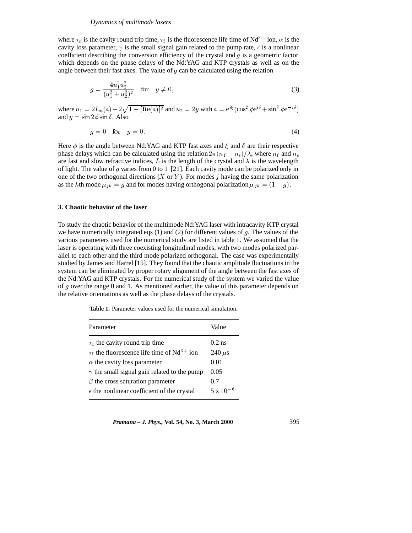#### *Dynamics of multimode lasers*

where  $\tau_c$  is the cavity round trip time,  $\tau_f$  is the fluorescence life time of Nd<sup>3+</sup> ion,  $\alpha$  is the cavity loss parameter,  $\gamma$  is the small signal gain related to the pump rate,  $\epsilon$  is a nonlinear coefficient describing the conversion efficiency of the crystal and  $g$  is a geometric factor which depends on the phase delays of the Nd:YAG and KTP crystals as well as on the angle between their fast axes. The value of  $g$  can be calculated using the relation

$$
g = \frac{4u_1^2 u_2^2}{(u_1^2 + u_2^2)^2} \quad \text{for} \quad y \neq 0,
$$
 (3)

where  $u_1 = 2I_m(a) - 2\sqrt{1 - [\text{Re}(a)]^2}$  and  $u_2 = 2y$  with  $a = e^{i\xi}(\cos^2 \phi e^{i\delta} + \sin^2 \phi e^{-i\delta})$ and  $y = \sin 2\phi \sin \delta$ . Also

$$
g = 0 \quad \text{for} \quad y = 0. \tag{4}
$$

Here  $\phi$  is the angle between Nd:YAG and KTP fast axes and  $\xi$  and  $\delta$  are their respective phase delays which can be calculated using the relation  $2\pi(n_f - n_s)/\lambda$ , where  $n_f$  and  $n_s$ are fast and slow refractive indices, L is the length of the crystal and  $\lambda$  is the wavelength of light. The value of g varies from 0 to 1 [21]. Each cavity mode can be polarized only in one of the two orthogonal directions  $(X \text{ or } Y)$ . For modes j having the same polarization as the kth mode  $\mu_{jk} = g$  and for modes having orthogonal polarization  $\mu_{jk} = (1 - g)$ .

# **3. Chaotic behavior of the laser**

To study the chaotic behavior of the multimode Nd:YAG laser with intracavity KTP crystal we have numerically integrated eqs  $(1)$  and  $(2)$  for different values of g. The values of the various parameters used for the numerical study are listed in table 1. We assumed that the laser is operating with three coexisting longitudinal modes, with two modes polarized parallel to each other and the third mode polarized orthogonal. The case was experimentally studied by James and Harrel [15]. They found that the chaotic amplitude fluctuations in the system can be eliminated by proper rotary alignment of the angle between the fast axes of the Nd:YAG and KTP crystals. For the numerical study of the system we varied the value of <sup>g</sup> over the range 0 and 1. As mentioned earlier, the value of this parameter depends on the relative orientations as well as the phase delays of the crystals.

**Table 1.** Parameter values used for the numerical simulation.

| Parameter                                                   | Value              |
|-------------------------------------------------------------|--------------------|
| $\tau_c$ the cavity round trip time                         | $0.2$ ns           |
| $\tau_f$ the fluorescence life time of Nd <sup>3+</sup> ion | 240 $\mu$ s        |
| $\alpha$ the cavity loss parameter                          | 0.01               |
| $\gamma$ the small signal gain related to the pump          | 0.05               |
| $\beta$ the cross saturation parameter                      | 0.7                |
| $\epsilon$ the nonlinear coefficient of the crystal         | $5 \times 10^{-6}$ |

*Pramana – J. Phys.,* **Vol. 54, No. 3, March 2000** 395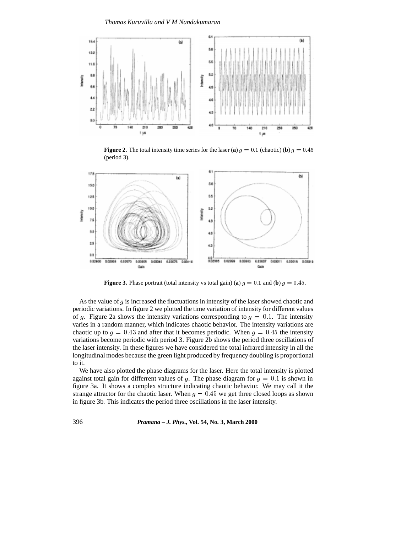*Thomas Kuruvilla and V M Nandakumaran*



**Figure 2.** The total intensity time series for the laser (**a**)  $g = 0.1$  (chaotic) (**b**)  $g = 0.45$ (period 3).



**Figure 3.** Phase portrait (total intensity vs total gain) (**a**)  $g = 0.1$  and (**b**)  $g = 0.45$ .

As the value of  $g$  is increased the fluctuations in intensity of the laser showed chaotic and periodic variations. In figure 2 we plotted the time variation of intensity for different values of g. Figure 2a shows the intensity variations corresponding to  $g = 0.1$ . The intensity varies in a random manner, which indicates chaotic behavior. The intensity variations are chaotic up to  $g = 0.43$  and after that it becomes periodic. When  $g = 0.45$  the intensity variations become periodic with period 3. Figure 2b shows the period three oscillations of the laser intensity. In these figures we have considered the total infrared intensity in all the longitudinal modes because the green light produced by frequency doubling is proportional to it.

We have also plotted the phase diagrams for the laser. Here the total intensity is plotted against total gain for differrent values of g. The phase diagram for  $g = 0.1$  is shown in figure 3a. It shows a complex structure indicating chaotic behavior. We may call it the strange attractor for the chaotic laser. When  $g = 0.45$  we get three closed loops as shown in figure 3b. This indicates the period three oscillations in the laser intensity.

396 *Pramana – J. Phys.,* **Vol. 54, No. 3, March 2000**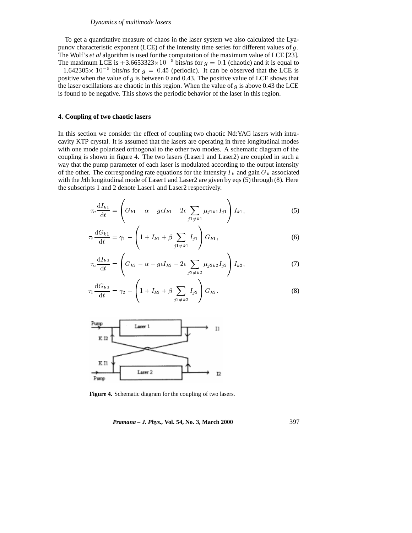#### *Dynamics of multimode lasers*

To get a quantitative measure of chaos in the laser system we also calculated the Lyapunov characteristic exponent (LCE) of the intensity time series for different values of  $g$ . The Wolf's *et al* algorithm is used for the computation of the maximum value of LCE [23]. The maximum LCE is  $+3.6653323 \times 10^{-5}$  bits/ns for  $g = 0.1$  (chaotic) and it is equal to  $-1.642305\times 10^{-5}$  bits/ns for  $g = 0.45$  (periodic). It can be observed that the LCE is positive when the value of  $g$  is between 0 and 0.43. The positive value of LCE shows that the laser oscillations are chaotic in this region. When the value of g is above 0.43 the LCE is found to be negative. This shows the periodic behavior of the laser in this region.

## **4. Coupling of two chaotic lasers**

In this section we consider the effect of coupling two chaotic Nd:YAG lasers with intracavity KTP crystal. It is assumed that the lasers are operating in three longitudinal modes with one mode polarized orthogonal to the other two modes. A schematic diagram of the coupling is shown in figure 4. The two lasers (Laser1 and Laser2) are coupled in such a way that the pump parameter of each laser is modulated according to the output intensity of the other. The corresponding rate equations for the intensity  $I_k$  and gain  $G_k$  associated with the kth longitudinal mode of Laser1 and Laser2 are given by eqs (5) through (8). Here the subscripts 1 and 2 denote Laser1 and Laser2 respectively.

$$
\tau_{\rm c} \frac{\mathrm{d}I_{k1}}{\mathrm{d}t} = \left( G_{k1} - \alpha - g\epsilon I_{k1} - 2\epsilon \sum_{j1 \neq k1} \mu_{j1k1} I_{j1} \right) I_{k1},\tag{5}
$$

$$
\tau_{\rm f} \frac{\mathrm{d}G_{k1}}{\mathrm{d}t} = \gamma_1 - \left( 1 + I_{k1} + \beta \sum_{j1 \neq k1} I_{j1} \right) G_{k1},\tag{6}
$$

$$
\tau_{\rm c} \frac{\mathrm{d}I_{k2}}{\mathrm{d}t} = \left( G_{k2} - \alpha - g\epsilon I_{k2} - 2\epsilon \sum_{j2 \neq k2} \mu_{j2k2} I_{j2} \right) I_{k2},\tag{7}
$$

$$
\tau_{\rm f} \frac{\mathrm{d}G_{k2}}{\mathrm{d}t} = \gamma_2 - \left( 1 + I_{k2} + \beta \sum_{j2 \neq k2} I_{j2} \right) G_{k2}.
$$
\n(8)



**Figure 4.** Schematic diagram for the coupling of two lasers.

*Pramana – J. Phys.,* **Vol. 54, No. 3, March 2000** 397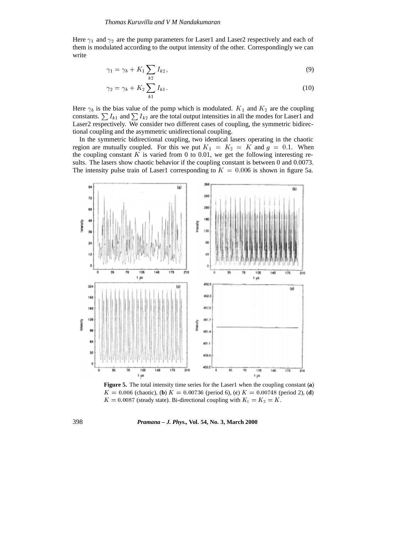Here  $\gamma_1$  and  $\gamma_2$  are the pump parameters for Laser1 and Laser2 respectively and each of them is modulated according to the output intensity of the other. Correspondingly we can write

$$
\gamma_1 = \gamma_b + K_1 \sum_{k2} I_{k2},\tag{9}
$$

$$
\gamma_2 = \gamma_b + K_2 \sum_{k1} I_{k1}.\tag{10}
$$

Here  $\gamma_b$  is the bias value of the pump which is modulated.  $K_1$  and  $K_2$  are the coupling constants.  $\sum I_{k1}$  and  $\sum I_{k2}$  are the total output intensities in all the modes for Laser1 and Laser2 respectively. We consider two different cases of coupling, the symmetric bidirectional coupling and the asymmetric unidirectional coupling.

In the symmetric bidirectional coupling, two identical lasers operating in the chaotic region are mutually coupled. For this we put  $K_1 = K_2 = K$  and  $g = 0.1$ . When the coupling constant  $K$  is varied from 0 to 0.01, we get the following interesting results. The lasers show chaotic behavior if the coupling constant is between 0 and 0.0073. The intensity pulse train of Laser1 corresponding to  $K = 0.006$  is shown in figure 5a.



**Figure 5.** The total intensity time series for the Laser1 when the coupling constant (**a**)  $K = 0.006$  (chaotic), (**b**)  $K = 0.00736$  (period 6), (**c**)  $K = 0.00748$  (period 2), (**d**)  $K = 0.0087$  (steady state). Bi-directional coupling with  $K_1 = K_2 = K$ .

398 *Pramana – J. Phys.,* **Vol. 54, No. 3, March 2000**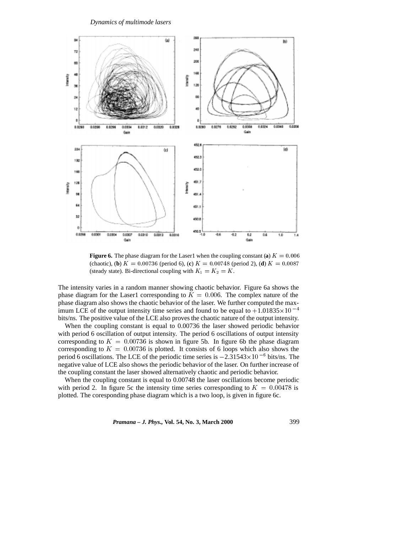

**Figure 6.** The phase diagram for the Laser1 when the coupling constant (**a**)  $K = 0.006$ (chaotic), (**b**)  $K = 0.00736$  (period 6), (**c**)  $K = 0.00748$  (period 2), (**d**)  $K = 0.0087$ (steady state). Bi-directional coupling with  $K_1 = K_2 = K$ .

The intensity varies in a random manner showing chaotic behavior. Figure 6a shows the phase diagram for the Laser1 corresponding to  $K = 0.006$ . The complex nature of the phase diagram also shows the chaotic behavior of the laser. We further computed the maximum LCE of the output intensity time series and found to be equal to  $+1.01835\times10^{-4}$ bits/ns. The positive value of the LCE also proves the chaotic nature of the output intensity.

When the coupling constant is equal to 0.00736 the laser showed periodic behavior with period 6 oscillation of output intensity. The period 6 oscillations of output intensity corresponding to  $K = 0.00736$  is shown in figure 5b. In figure 6b the phase diagram corresponding to  $K = 0.00736$  is plotted. It consists of 6 loops which also shows the period 6 oscillations. The LCE of the periodic time series is  $-2.31543\times10^{-6}$  bits/ns. The negative value of LCE also shows the periodic behavior of the laser. On further increase of the coupling constant the laser showed alternatively chaotic and periodic behavior.

When the coupling constant is equal to 0.00748 the laser oscillations become periodic with period 2. In figure 5c the intensity time series corresponding to  $K = 0.00478$  is plotted. The coresponding phase diagram which is a two loop, is given in figure 6c.

*Pramana – J. Phys.,* **Vol. 54, No. 3, March 2000** 399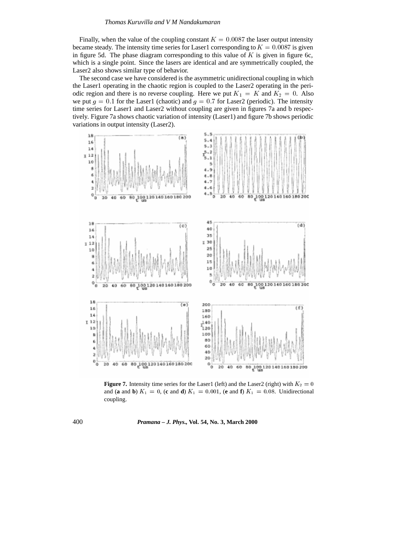Finally, when the value of the coupling constant  $K = 0.0087$  the laser output intensity became steady. The intensity time series for Laser1 corresponding to  $K = 0.0087$  is given in figure 5d. The phase diagram corresponding to this value of  $K$  is given in figure 6c, which is a single point. Since the lasers are identical and are symmetrically coupled, the Laser2 also shows similar type of behavior.

The second case we have considered is the asymmetric unidirectional coupling in which the Laser1 operating in the chaotic region is coupled to the Laser2 operating in the periodic region and there is no reverse coupling. Here we put  $K_1 = K$  and  $K_2 = 0$ . Also we put  $g = 0.1$  for the Laser1 (chaotic) and  $g = 0.7$  for Laser2 (periodic). The intensity time series for Laser1 and Laser2 without coupling are given in figures 7a and b respectively. Figure 7a shows chaotic variation of intensity (Laser1) and figure 7b shows periodic variations in output intensity (Laser2).



**Figure 7.** Intensity time series for the Laser1 (left) and the Laser2 (right) with  $K_2 = 0$ and (**a** and **b**)  $K_1 = 0$ , (**c** and **d**)  $K_1 = 0.001$ , (**e** and **f**)  $K_1 = 0.08$ . Unidirectional coupling.

400 *Pramana – J. Phys.,* **Vol. 54, No. 3, March 2000**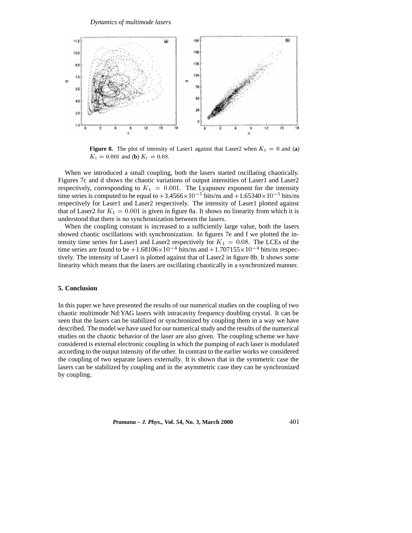

**Figure 8.** The plot of intensity of Laser1 against that Laser2 when  $K_2 = 0$  and (a)  $K_1 = 0.001$  and (**b**)  $K_1 = 0.08$ .

When we introduced a small coupling, both the lasers started oscillating chaotically. Figures 7c and d shows the chaotic variations of output intensities of Laser1 and Laser2 respectively, corresponding to  $K_1 = 0.001$ . The Lyapunov exponent for the intensity time series is computed to be equal to  $+3.4566\times10^{-5}$  bits/ns and  $+1.65340\times10^{-5}$  bits/ns respectively for Laser1 and Laser2 respectively. The intensity of Laser1 plotted against that of Laser2 for  $K_1 = 0.001$  is given in figure 8a. It shows no linearity from which it is understood that there is no synchronization between the lasers.

When the coupling constant is increased to a sufficiently large value, both the lasers showed chaotic oscillations with synchronization. In figures 7e and f we plotted the intensity time series for Laser1 and Laser2 respectively for  $K_1 = 0.08$ . The LCEs of the time series are found to be  $+1.68106\times10^{-4}$  bits/ns and  $+1.707155\times10^{-4}$  bits/ns respectively. The intensity of Laser1 is plotted against that of Laser2 in figure 8b. It shows some linearity which means that the lasers are oscillating chaotically in a synchronized manner.

# **5. Conclusion**

In this paper we have presented the results of our numerical studies on the coupling of two chaotic multimode Nd:YAG lasers with intracavity frequency doubling crystal. It can be seen that the lasers can be stabilized or synchronized by coupling them in a way we have described. The model we have used for our numerical study and the results of the numerical studies on the chaotic behavior of the laser are also given. The coupling scheme we have considered is external electronic coupling in which the pumping of each laser is modulated according to the output intensity of the other. In contrast to the earlier works we considered the coupling of two separate lasers externally. It is shown that in the symmetric case the lasers can be stabilized by coupling and in the asymmetric case they can be synchronized by coupling.